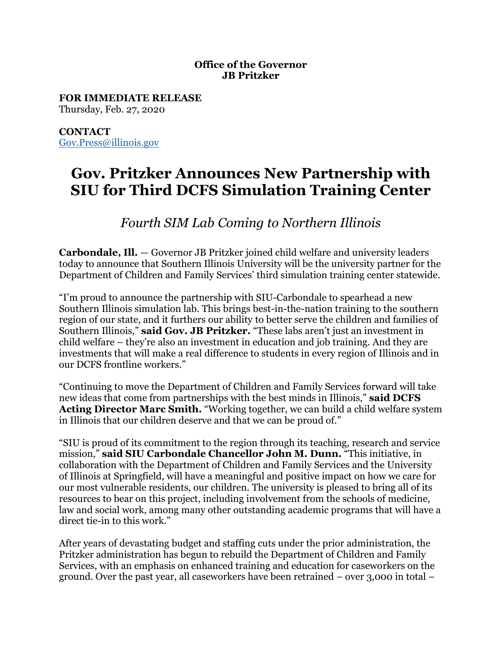## **Office of the Governor JB Pritzker**

**FOR IMMEDIATE RELEASE** Thursday, Feb. 27, 2020

**CONTACT** [Gov.Press@illinois.gov](mailto:Gov.Press@illinois.gov)

## **Gov. Pritzker Announces New Partnership with SIU for Third DCFS Simulation Training Center**

*Fourth SIM Lab Coming to Northern Illinois*

**Carbondale, Ill.** — Governor JB Pritzker joined child welfare and university leaders today to announce that Southern Illinois University will be the university partner for the Department of Children and Family Services' third simulation training center statewide.

"I'm proud to announce the partnership with SIU-Carbondale to spearhead a new Southern Illinois simulation lab. This brings best-in-the-nation training to the southern region of our state, and it furthers our ability to better serve the children and families of Southern Illinois," **said Gov. JB Pritzker.** "These labs aren't just an investment in child welfare – they're also an investment in education and job training. And they are investments that will make a real difference to students in every region of Illinois and in our DCFS frontline workers."

"Continuing to move the Department of Children and Family Services forward will take new ideas that come from partnerships with the best minds in Illinois," **said DCFS Acting Director Marc Smith.** "Working together, we can build a child welfare system in Illinois that our children deserve and that we can be proud of."

"SIU is proud of its commitment to the region through its teaching, research and service mission," **said SIU Carbondale Chancellor John M. Dunn.** "This initiative, in collaboration with the Department of Children and Family Services and the University of Illinois at Springfield, will have a meaningful and positive impact on how we care for our most vulnerable residents, our children. The university is pleased to bring all of its resources to bear on this project, including involvement from the schools of medicine, law and social work, among many other outstanding academic programs that will have a direct tie-in to this work."

After years of devastating budget and staffing cuts under the prior administration, the Pritzker administration has begun to rebuild the Department of Children and Family Services, with an emphasis on enhanced training and education for caseworkers on the ground. Over the past year, all caseworkers have been retrained – over 3,000 in total –